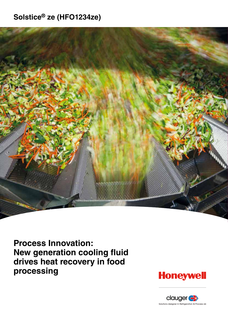# **Solstice® ze (HFO1234ze)**



**Process Innovation: New generation cooling fluid drives heat recovery in food processing** 



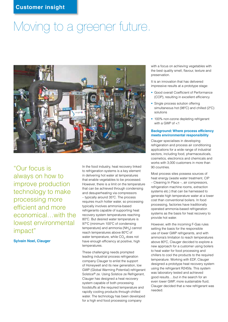# Moving to a greener future.



"Our focus is always on how to improve production technology to make processing more efficient and more economical…with the lowest environmental impact"

**Sylvain Noel, Clauger**

In the food industry, heat recovery linked to refrigeration systems is a key element in delivering hot water at temperatures that enable vegetables to be processed. However, there is a limit on the temperature that can be achieved through condensing and desuperheating via compressors – typically around 35ºC. The process requires much hotter water, so processing typically involves ammonia-based refrigerants capable of supporting heat recovery system temperatures reaching 80ºC. But desired water temperature is 97ºC (minimum 100ºC of condensing temperature) and ammonia ( $NH<sub>3</sub>$ ) cannot reach temperatures above 80ºC of water temperature, while CO<sub>2</sub> does not have enough efficiency at positive, high temperatures.

These challenging needs prompted leading industrial process refrigeration company Clauger to enlist the support of Honeywell and its new generation, low GWP (Global Warming Potential) refrigerant Solstice® ze. Using Solstice ze Refrigerant, Clauger has designed a heat recovery system capable of both processing foodstuffs at the required temperature and rapidly cooling products through chilled water. The technology has been developed for a high end food processing company

with a focus on achieving vegetables with the best quality smell, flavour, texture and preservation.

It is an innovation that has delivered impressive results at a prototype stage:

- Good overall Coefficient of Performance (COP), resulting in excellent efficiency
- Single process solution offering simultaneous hot (98ºC) and chilled (2ºC) solutions
- 100% non-ozone depleting refrigerant with a GWP of <1

#### **Background: Where process efficiency meets environmental responsibility**

Clauger specialises in developing refrigeration and process air conditioning applications for a wide range of industrial sectors, including food, pharmaceuticals, cosmetics, electronics and chemicals and works with 3,000 customers in more than 90 countries.

Most process sites possess sources of heat energy (waste water treatment, CIP – Cleaning In Place –, air compressors, refrigeration machine rooms, extraction systems etc.) that can be harnessed to generate high temperature water at a lower cost than conventional boilers. In food processing, factories have traditionally operated ammonia-based refrigeration systems as the basis for heat recovery to provide hot water.

However, with the incoming F-Gas rules setting the basis for the responsible use of lower GWP refrigerants, and with ammonia's limitation to reach temperatures above 80ºC, Clauger decided to explore a new approach for a customer using boilers to heat water for food processing and chillers to cool the products to the required temperature. Working with EDF, Clauger designed a prototype heat recovery system using the refrigerant R245fa. This system was laboratory tested and achieved good results….but in the search for an even lower GWP, more sustainable fluid, Clauger decided that a new refrigerant was needed.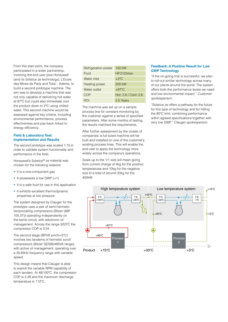From this start point, the company participated in a wider partnership, involving the end user plus Honeywell (and its Solstice ze technology), L'Ecole des Mines de Paris and Total – Ademe, to build a second prototype machine. The aim was to develop a machine that was not only capable of delivering hot water at 97ºC but could also immediate cool the product down to 2ºC using chilled water. This second machine would be assessed against key criteria, including environmental performance, process effectiveness and pay-back linked to energy efficiency.

#### **Field & Laboratory Test: Implementation and Results**

The second prototype was scaled 1:10 in order to validate system functionality and performance in the field.

Honeywell's Solstice® ze material was chosen for the following reasons:

- It is a one-component gas
- $\bullet$  It possesses a low GWP (<1)
- It is a safe fluid for use in this application
- It exhibits excellent thermodynamic properties at low pressure

The system designed by Clauger for the prototype uses a pair of semi-hermetic reciprocating compressors (Bitzer (66F 100.2Y)) operating independently on the same circuit, with electronic oil management. Across the range 3/53ºC the compressor COP is 3.54.

The second stage (BPHX pinch=5ºC) involves two tandems of hermetic scroll compressors (Bitzer GDS80485VA range), with active oil management, operating over a 35-65Hz frequency range with variable speed.

This design means that Clauger is able to exploit the variable RPM capability of each tandem. At 48/100ºC, the compressor COP is 3.28 and the maximum discharge temperature is 112ºC.

| Refrigeration power  | 150 kW               |
|----------------------|----------------------|
| Fluid                | <b>HFO1234ze</b>     |
| Water inlet          | $+2$ °C              |
| <b>Heating power</b> | 200 kW               |
| Water outlet         | $+97^{\circ}$ C      |
| COP                  | Hot: 2.8 / Cold: 2.6 |
|                      | 2.5 Years            |

The machine was set up on a sample process line for constant monitoring by the customer against a series of specified parameters. After some months of testing, the results matched the requirements.

After further assessment by the cluster of companies, a full sized machine will be built and installed on one of the customer's existing process lines. This will enable the end user to apply the technology more widely across the company's operations.

Scale up to the 1/1 size will mean going from current charge of 4kg for the positive temperatures and 10kg for the negative size to a total of around 30kg for the 400kW.

## **Feedback: A Positive Result for Low GWP Technology**

"If the on-going trial is successful, we plan to roll-out similar technology across many of our plants around the world. The system offers both the performance levels we need and low environmental impact." *Customer spokesperson.*

"Solstice ze offers a pathway for the future for this type of technology and for hitting the 80ºC limit, combining performance within agreed specifications together with very low GWP." *Clauger spokesperson.*